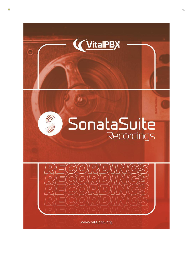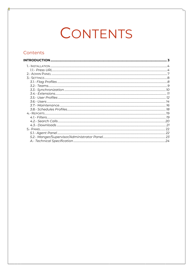# CONTENTS

#### Contents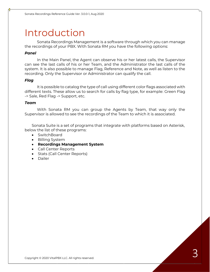# Introduction

Sonata Recordings Management is a software through which you can manage the recordings of your PBX. With Sonata RM you have the following options:

#### *Panel*

In the Main Panel, the Agent can observe his or her latest calls, the Supervisor can see the last calls of his or her Team, and the Administrator the last calls of the system. It is also possible to manage Flag, Reference and Note, as well as listen to the recording. Only the Supervisor or Administrator can qualify the call.

#### *Flag*

It is possible to catalog the type of call using different color flags associated with different texts. These allow us to search for calls by flag type, for example: Green Flag -> Sale, Red Flag -> Support, etc.

#### *Team*

With Sonata RM you can group the Agents by Team, that way only the Supervisor is allowed to see the recordings of the Team to which it is associated.

Sonata Suite is a set of programs that integrate with platforms based on Asterisk, below the list of these programs:

- SwitchBoard
- Billing System
- **Recordings Management System**
- Call Center Reports
- Stats (Call Center Reports)
- Dailer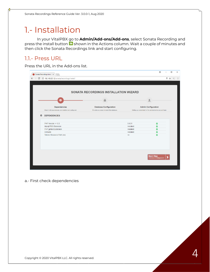### 1.- Installation

In your VitalPBX go to **Admin/Add-ons/Add-ons**, select Sonata Recording and press the install button  $\bullet$  shown in the Actions column. Wait a couple of minutes and then click the Sonata Recordings link and start configuring.

#### 1.1.- Press URL

Press the URL in the Add-ons list.

|                               | Sonata Recordings Install X                            |                                              |                                                              | A                                          | $\Box$ | $\times$ |
|-------------------------------|--------------------------------------------------------|----------------------------------------------|--------------------------------------------------------------|--------------------------------------------|--------|----------|
| $\leftarrow$<br>$\rightarrow$ | C 192.168.25.12/sonata/recordings/install/             |                                              |                                                              |                                            | ♥ ☆    |          |
|                               |                                                        |                                              |                                                              |                                            |        |          |
|                               |                                                        |                                              |                                                              |                                            |        |          |
|                               |                                                        |                                              |                                                              |                                            |        |          |
|                               |                                                        | <b>SONATA RECORDINGS INSTALLATION WIZARD</b> |                                                              |                                            |        |          |
|                               |                                                        |                                              |                                                              |                                            |        |          |
|                               | o                                                      |                                              |                                                              |                                            |        |          |
|                               |                                                        |                                              |                                                              |                                            |        |          |
|                               | <b>Dependencies</b>                                    | <b>Database Configuration</b>                |                                                              | <b>Admin Configuration</b>                 |        |          |
|                               | Check if all dependences are installed and configured. | Provide us access to install the database.   | Setting up credentials for the administrative account login. |                                            |        |          |
| 舂                             | <b>DEPENDENCIES</b>                                    |                                              |                                                              |                                            |        |          |
|                               | PHP Versión $>= 5.3$                                   |                                              | 5.6.31                                                       | $\bullet$                                  |        |          |
|                               | Mysql PDO Extension                                    |                                              | Installed                                                    | o                                          |        |          |
|                               | PHP gettext Extension                                  |                                              | Installed                                                    | O                                          |        |          |
|                               | Ombutel                                                |                                              | Installed                                                    | O                                          |        |          |
|                               | Telerec Resource Path (rw)                             |                                              | <b>rw</b>                                                    | O                                          |        |          |
|                               |                                                        |                                              |                                                              |                                            |        |          |
|                               |                                                        |                                              |                                                              |                                            |        |          |
|                               |                                                        |                                              |                                                              |                                            |        |          |
|                               |                                                        |                                              |                                                              |                                            |        |          |
|                               |                                                        |                                              |                                                              |                                            |        |          |
|                               |                                                        |                                              |                                                              |                                            |        |          |
|                               |                                                        |                                              |                                                              | <b>Next Step</b><br>Database Configuration |        |          |
|                               |                                                        |                                              |                                                              |                                            |        |          |
|                               |                                                        |                                              |                                                              |                                            |        |          |

a.- First check dependencies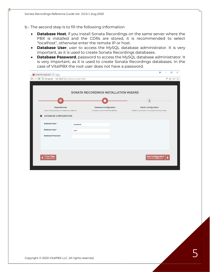b.- The second step is to fill the following information

- **Database Host**, if you install Sonata Recordings on the same server where the PBX is installed and the CDRs are stored, it is recommended to select "localhost", otherwise enter the remote IP or host.
- **Database User**, user to access the MySQL database administrator. It is very important, as it is used to create Sonata Recordings databases.
- **Database Password**, password to access the MySQL database administrator. It is very important, as it is used to create Sonata Recordings databases. In the case of VitalPBX the root user does not have a password.

|                                                                               |           | <b>SONATA RECORDINGS INSTALLATION WIZARD</b>                                |                                                                                            |
|-------------------------------------------------------------------------------|-----------|-----------------------------------------------------------------------------|--------------------------------------------------------------------------------------------|
| o                                                                             |           |                                                                             | Ω                                                                                          |
| <b>Dependencies</b><br>Check if all dependences are installed and configured. |           | <b>Database Configuration</b><br>Provide us access to install the database. | <b>Admin Configuration</b><br>Setting up credentials for the administrative account login. |
| <b>DATABASE CONFIGURATION</b>                                                 |           |                                                                             |                                                                                            |
| Database Host *                                                               | localhost |                                                                             |                                                                                            |
| Database User*                                                                | root      |                                                                             |                                                                                            |
| <b>Database Password</b>                                                      |           |                                                                             |                                                                                            |
|                                                                               |           |                                                                             |                                                                                            |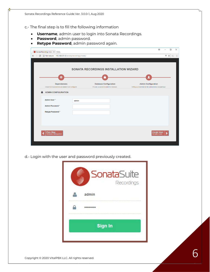c.- The final step is to fill the following information

- **Username**, admin user to login into Sonata Recordings.
- **Password**, admin password.
- **Retype Password**, admin password again.

| Sonata Recordings Install X                                                   |                                                                             | $\Theta$<br>$\Box$                                                                         |
|-------------------------------------------------------------------------------|-----------------------------------------------------------------------------|--------------------------------------------------------------------------------------------|
| C   192.168.25.12/sonata/recordings/install/<br>$\rightarrow$                 |                                                                             | Ψ.<br>☆<br>Œ                                                                               |
|                                                                               |                                                                             |                                                                                            |
|                                                                               |                                                                             |                                                                                            |
|                                                                               | <b>SONATA RECORDINGS INSTALLATION WIZARD</b>                                |                                                                                            |
|                                                                               |                                                                             |                                                                                            |
| o                                                                             |                                                                             |                                                                                            |
|                                                                               |                                                                             |                                                                                            |
| <b>Dependencies</b><br>Check if all dependences are installed and configured. | <b>Database Configuration</b><br>Provide us access to install the database. | <b>Admin Configuration</b><br>Setting up credentials for the administrative account login. |
| Æ<br><b>ADMIN CONFIGURATION</b>                                               |                                                                             |                                                                                            |
|                                                                               |                                                                             |                                                                                            |
| Admin User*<br>admin                                                          |                                                                             |                                                                                            |
| Admin Password *                                                              |                                                                             |                                                                                            |
|                                                                               |                                                                             |                                                                                            |
| Retype Password*                                                              |                                                                             |                                                                                            |
|                                                                               |                                                                             |                                                                                            |
|                                                                               |                                                                             |                                                                                            |
|                                                                               |                                                                             |                                                                                            |
|                                                                               |                                                                             |                                                                                            |
| <b>Prev Step</b><br>Database Configuration                                    |                                                                             | Create User<br>Set admin user                                                              |
|                                                                               |                                                                             |                                                                                            |
|                                                                               |                                                                             |                                                                                            |

d.- Login with the user and password previously created.

| <b>SonataSuite</b><br>Recordings |
|----------------------------------|
| admin                            |
|                                  |
| <b>Sign In</b>                   |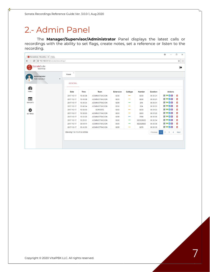## 2.- Admin Panel

The **Manager/Supervisor/Administrator** Panel displays the latest calls or recordings with the ability to set flags, create notes, set a reference or listen to the recording.

| SonataSuite<br>Recordings       |                               |          |                       |                  |                          |               |                 |                                                                  | $\ddot{\phantom{1}}$ |
|---------------------------------|-------------------------------|----------|-----------------------|------------------|--------------------------|---------------|-----------------|------------------------------------------------------------------|----------------------|
| Administrator<br>Administration | $\mathcal{L}$<br>Panel<br>۰   |          |                       |                  |                          |               |                 |                                                                  |                      |
|                                 | <b>GENERAL</b>                |          |                       |                  |                          |               |                 |                                                                  |                      |
| ☎<br>PANEL                      | <b>Date</b>                   | Time     | Team                  | <b>Extension</b> | Calltype                 | <b>Number</b> | <b>Duration</b> | <b>Actions</b>                                                   |                      |
|                                 | 2017-10-17                    | 10:49:38 | <b>ADMINISTRACION</b> | 8250             |                          | 8253          | 00:00:21        | $\blacksquare$                                                   | 面                    |
| E                               | 2017-10-17                    | 10:49:38 | ADMINISTRACION        | 8253             | $\rightarrow$            | 8250          | 00:00:21        | <b>FPZO</b>                                                      | 面                    |
| <b>REPORTS</b>                  | 2017-10-17                    | 10:48:34 | ADMINISTRACION        | 8255             | →                        | 254           | 00:00:01        | $\blacksquare$ $\blacksquare$ $\lozenge$ $\lozenge$              | 面                    |
|                                 | 2017-10-17                    | 10:48:34 | <b>ADMINISTRACION</b> | 8255             | $\longrightarrow$        | 254           | 00:00:01        | <b>FPZO</b>                                                      | 面                    |
| ✿                               | 2017-10-17                    | 10:38:03 | SOPORTE               | 8263             |                          | 8253          | 00:01:25        | $\blacksquare$ $\blacksquare$ $\lozenge$ $\lozenge$              | 面                    |
| <b>SETTINGS</b>                 | 2017-10-17                    | 10:38:03 | ADMINISTRACION        | 8253             | →                        | 8263          | 00:01:25        | FPZO                                                             | û                    |
|                                 | 2017-10-17                    | 10:33:26 | ADMINISTRACION        | 8255             | $\overline{\phantom{m}}$ | 7500          | 00:00:06        | $\blacksquare$ $\blacksquare$ $\lozenge$ $\lozenge$              | 面                    |
|                                 | 2017-10-17                    | 10:26:01 | ADMINISTRACION        | 8303             | $\rightarrow$            | 922528920     | 00:00:34        | <b>FPZO</b>                                                      | 面                    |
|                                 | 2017-10-17                    | 09:54:44 | <b>ADMINISTRACION</b> | 8303             | →                        | 922528920     | 00:00:38        | $\blacksquare$ $\blacksquare$ $\lozenge$ $\lozenge$              | 面                    |
|                                 | 2017-10-17                    | 09:40:53 | <b>ADMINISTRACION</b> | 8255             | →                        | 8270          | 00:00:39        | <b>FPZO</b>                                                      | Ŵ                    |
|                                 | Showing 1 to 10 of 32 entries |          |                       |                  |                          |               | Previous        | $\overline{2}$<br>$\mathbf{3}$<br>$\overline{4}$<br>$\mathbf{1}$ | Next                 |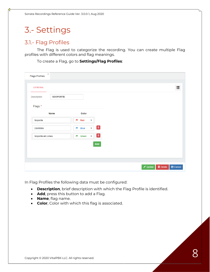## 3.- Settings

#### 3.1.- Flag Profiles

The Flag is used to categorize the recording. You can create multiple Flag profiles with different colors and flag meanings.

To create a Flag, go to **Settings/Flag Profiles**:

| $\boldsymbol{\times}$<br><b>Flags Profiles</b> |                 |                                      |                        |  |                    |                      |                  |
|------------------------------------------------|-----------------|--------------------------------------|------------------------|--|--------------------|----------------------|------------------|
| <b>GENERAL</b>                                 |                 |                                      |                        |  |                    |                      | 津                |
| Description                                    | <b>SDOPORTE</b> |                                      |                        |  |                    |                      |                  |
| Flags*                                         |                 |                                      |                        |  |                    |                      |                  |
| <b>Name</b>                                    |                 | Color                                |                        |  |                    |                      |                  |
| Soporte                                        | p.              | Red<br>$\pmb{\mathrm{v}}$            |                        |  |                    |                      |                  |
| Contrato                                       | p               | $\star$<br><b>Blue</b>               | $\boxed{\blacksquare}$ |  |                    |                      |                  |
| Soporte en Linea                               | p               | Green<br>$\mathcal{L}_{\mathcal{A}}$ |                        |  |                    |                      |                  |
|                                                |                 |                                      | Add                    |  |                    |                      |                  |
|                                                |                 |                                      |                        |  |                    |                      |                  |
|                                                |                 |                                      |                        |  |                    |                      |                  |
|                                                |                 |                                      |                        |  | $\sqrt{\ }$ Update | $\widehat{m}$ Delete | $\bullet$ Cancel |

In Flag Profiles the following data must be configured:

- **Description**, brief description with which the Flag Profile is identified.
- **Add**, press this button to add a Flag.
- **Name**, flag name.
- **Color**, Color with which this flag is associated.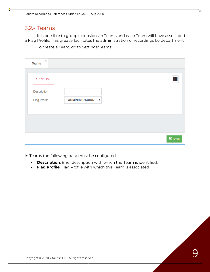#### 3.2.- Teams

It is possible to group extensions in Teams and each Team will have associated a Flag Profile. This greatly facilitates the administration of recordings by department.

To create a Team, go to Settings/Teams:

|                                    | 疆 |               |
|------------------------------------|---|---------------|
|                                    |   |               |
| <b>ADMINISTRACION</b><br>$\;$ $\;$ |   |               |
|                                    |   |               |
|                                    |   |               |
|                                    |   |               |
|                                    |   | <b>B</b> Save |

In Teams the following data must be configured:

- **Description**, Brief description with which the Team is identified.
- **Flag Profile**, Flag Profile with which this Team is associated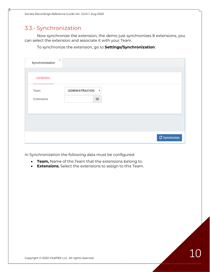### 3.3.- Synchronization

Now synchronize the extension, the demo just synchronizes 8 extensions, you can select the extension and associate it with your Team.

To synchronize the extension, go to **Settings/Synchronization**:

| $\mathcal{Y}_\mathrm{c}$<br>Synchronization |                                    |                      |
|---------------------------------------------|------------------------------------|----------------------|
| <b>GENERAL</b>                              |                                    |                      |
| Team                                        | <b>ADMINISTRACION</b><br>$\;$ $\;$ |                      |
| Extensions                                  | 這                                  |                      |
|                                             |                                    |                      |
|                                             |                                    |                      |
|                                             |                                    | $\sigma$ Synchronize |

In Synchronization the following data must be configured:

- **Team,** Name of the Team that the extensions belong to.
- **Extensions**, Select the extensions to assign to this Team.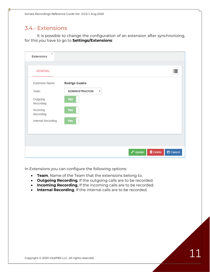#### 3.4.- Extensions

It is possible to change the configuration of an extension after synchronizing, for this you have to go to **Settings/Extensions**:

| <b>Extension Name</b> | Rodrigo Cuadra                                   |  |
|-----------------------|--------------------------------------------------|--|
| Team                  | <b>ADMINISTRACION</b><br>$\overline{\mathbf{v}}$ |  |
| Outgoing<br>Recording | Yes                                              |  |
| Incoming<br>Recording | Yes                                              |  |
| Internal Recording    | Yes                                              |  |

In Extensions you can configure the following options:

- **Team**, Name of the Team that the extensions belong to.
- **Outgoing Recording**, If the outgoing calls are to be recorded.
- **Incoming Recording**, If the incoming calls are to be recorded.
- **Internal Recording**, If the internal calls are to be recorded.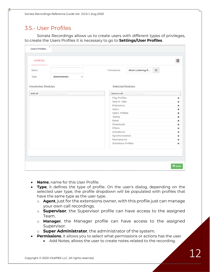#### 3.5.- User Profiles

Sonata Recordings allows us to create users with different types of privileges, to create the Users Profiles it is necessary to go to **Settings/User Profiles**.

| <b>GENERAL</b>            |                               |                                       | 拒           |
|---------------------------|-------------------------------|---------------------------------------|-------------|
| Name                      |                               | 這<br>Permissions<br>Allow Listening R |             |
| Type                      | Administrator<br>$\checkmark$ |                                       |             |
| <b>Unselected Modules</b> |                               | <b>Selected Modules</b>               |             |
| Add all                   |                               | <b>Remove all</b>                     |             |
|                           |                               | <b>Flag Profiles</b>                  | ×           |
|                           |                               | Search Calls                          | ×           |
|                           |                               | Extensions                            | ×           |
|                           |                               | <b>Users</b>                          | ×           |
|                           |                               | <b>Users Profiles</b>                 | ×           |
|                           |                               | Teams                                 | ×           |
|                           |                               | Panel                                 | $\mathbf x$ |
|                           |                               | Downloads                             | ×           |
|                           |                               | <b>Filters</b><br>Activations         | ×           |
|                           |                               | Synchronization                       | ×<br>×      |
|                           |                               | Maintenance                           | ×           |
|                           |                               | <b>Schedules Profiles</b>             | ×           |
|                           |                               |                                       |             |
|                           |                               |                                       |             |
|                           |                               |                                       |             |

- **Name**, name for this User Profile.
- **Type**, it defines the type of profile. On the user's dialog, depending on the selected user type, the profile dropdown will be populated with profiles that have the same type as the user type.
	- o **Agent**, just for the extensions owner, with this profile just can manage your own call recordings.
	- o **Supervisor**, the Supervisor profile can have access to the assigned Team.
	- o **Manager**, the Manager profile can have access to the assigned Supervisor.
	- o **Super Administrator**, the administrator of the system.
- **Permissions**, it allows you to select what permissions or actions has the user.
	- Add Notes, allows the user to create notes related to the recording.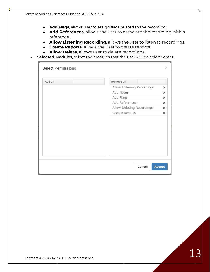- **Add Flags**, allows user to assign flags related to the recording.
- **Add References**, allows the user to associate the recording with a reference.
- **Allow Listening Recording**, allows the user to listen to recordings.
- **Create Reports**, allows the user to create reports.
- **Allow Delete**, allows user to delete recordings.
- **Selected Modules**, select the modules that the user will be able to enter.

| <b>Select Permissions</b> |                            | ×             |
|---------------------------|----------------------------|---------------|
| Add all                   | Remove all                 |               |
|                           | Allow Listening Recordings | ×             |
|                           | Add Notes                  | ×             |
|                           | Add Flags                  | $\mathbf x$   |
|                           | Add References             | ×             |
|                           | Allow Deleting Recordings  | ×             |
|                           | Create Reports             | $\mathbf x$   |
|                           |                            |               |
|                           | Cancel                     | <b>Accept</b> |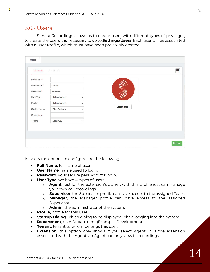#### 3.6.- Users

Sonata Recordings allows us to create users with different types of privileges, to create the Users it is necessary to go to **Settings/Users**. Each user will be associated with a User Profile, which must have been previously created.

| <b>GENERAL</b>                                                | SETTINGS                                               |                              |                     | 這 |
|---------------------------------------------------------------|--------------------------------------------------------|------------------------------|---------------------|---|
| Full Name*<br>User Name*<br>Password*<br>User Type<br>Profile | admin<br>***********<br>Administrator<br>Administrator | $\checkmark$<br>$\checkmark$ | <b>Select Image</b> |   |
| Startup Dialog<br>Department                                  | <b>Flag Profiles</b>                                   | $\checkmark$                 |                     |   |
| Tenant                                                        | VitalPBX                                               | $\checkmark$                 |                     |   |

In Users the options to configure are the following:

- **Full Name**, full name of user.
- **User Name**, name used to login.
- **Password**, your secure password for login.
- **User Type**, we have 4 types of users:
	- o **Agent**, just for the extension's owner, with this profile just can manage your own call recordings.
	- o **Supervisor**, the Supervisor profile can have access to the assigned Team.
	- o **Manager**, the Manager profile can have access to the assigned Supervisor.
	- o **Admin**, the administrator of the system.
- **Profile**, profile for this User.
- **Startup Dialog**, which dialog to be displayed when logging into the system.
- **Department**, user Department (Example: Development).
- **Tenant,** tenant to whom belongs this user.
- **Extension**, this option only shows if you select Agent. It is the extension associated with the Agent, an Agent can only view its recordings.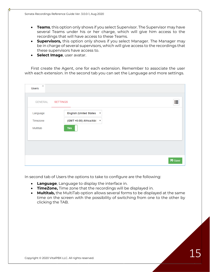- **Teams**, this option only shows if you select Supervisor. The Supervisor may have several Teams under his or her charge, which will give him access to the recordings that will have access to these Teams.
- **Supervisors,** this option only shows if you select Manager. The Manager may be in charge of several supervisors, which will give access to the recordings that these supervisors have access to.
- **Select Image**, user avatar.

First create the Agent, one for each extension. Remember to associate the user with each extension. In the second tab you can set the Language and more settings.

| $\gtrsim$<br><b>Users</b> |                                                             |               |
|---------------------------|-------------------------------------------------------------|---------------|
| GENERAL SETTINGS          |                                                             | 這             |
| Language                  | <b>English (United States)</b><br>$\boldsymbol{\mathrm{v}}$ |               |
| Timezone                  | (GMT +0:00) Africa/Abi ▼                                    |               |
| Multitab                  | <b>Yes</b>                                                  |               |
|                           |                                                             |               |
|                           |                                                             |               |
|                           |                                                             |               |
|                           |                                                             |               |
|                           |                                                             | <b>B</b> Save |

In second tab of Users the options to take to configure are the following:

- **Language**, Language to display the interface in.
- **TimeZone,** Time zone that the recordings will be displayed in.
- **Multitab,** the MultiTab option allows several forms to be displayed at the same time on the screen with the possibility of switching from one to the other by clicking the TAB.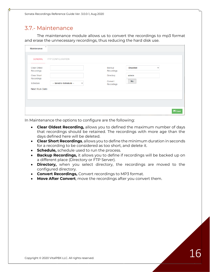#### 3.7.- Maintenance

The maintenance module allows us to convert the recordings to mp3 format and erase the unnecessary recordings, thus reducing the hard disk use.

| <b>Clear Oldest</b><br>Recordings<br>Clear Short<br>Recordings<br>Schedule | -- Select a Schedule --<br>$\checkmark$ | Backup<br>Recordings<br><b>Directory</b><br>Convert | <b>Disabled</b><br>admin<br><b>No</b> | $\checkmark$ |
|----------------------------------------------------------------------------|-----------------------------------------|-----------------------------------------------------|---------------------------------------|--------------|
|----------------------------------------------------------------------------|-----------------------------------------|-----------------------------------------------------|---------------------------------------|--------------|

In Maintenance the options to configure are the following:

- **Clear Oldest Recording,** allows you to defined the maximum number of days that recordings should be retained. The recordings with more age than the days defined here will be deleted.
- **Clear Short Recordings**, allows you to define the minimum duration in seconds for a recording to be considered as too short, and delete it.
- **Schedule,** schedule used to run the process.
- **Backup Recordings,** it allows you to define if recordings will be backed up on a different place (Directory or FTP Server).
- **Directory,** when you select directory, the recordings are moved to the configured directory.
- **Convert Recordings,** Convert recordings to MP3 format.
- **Move After Convert**, move the recordings after you convert them.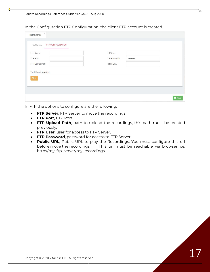In the Configuration FTP Configuration, the client FTP account is created.

| FTP Server                | FTP User                    |  |
|---------------------------|-----------------------------|--|
| FTP Port                  | FTP Password<br>*********** |  |
| FTP Upload Path           | Public URL                  |  |
|                           |                             |  |
| <b>Test Configuration</b> |                             |  |
| Test                      |                             |  |
|                           |                             |  |

In FTP the options to configure are the following:

- **FTP Server**, FTP Server to move the recordings.
- **FTP Port**, FTP Port.
- **FTP Upload Path**, path to upload the recordings, this path must be created previously.
- **FTP User**, user for access to FTP Server.
- **FTP Password**, password for access to FTP Server.
- **Public URL**, Public URL to play the Recordings. You must configure this url before move the recordings. This url must be reachable via browser, i.e, http://my\_ftp\_server/my\_recordings.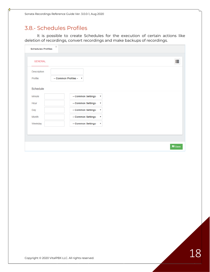#### 3.8.- Schedules Profiles

It is possible to create Schedules for the execution of certain actions like deletion of recordings, convert recordings and make backups of recordings.

| <b>GENERAL</b> |                                                   | ⊨             |
|----------------|---------------------------------------------------|---------------|
| Description    |                                                   |               |
| Profile        | -- Common Profiles - v                            |               |
| Schedule       |                                                   |               |
| Minute         | -- Common Settings · v                            |               |
| Hour           | -- Common Settings -<br>$\boldsymbol{\mathrm{v}}$ |               |
| Day            | -- Common Settings -<br>$\boldsymbol{\mathrm{v}}$ |               |
| Month          | -- Common Settings -<br>$\boldsymbol{\mathrm{v}}$ |               |
| Weekday        | -- Common Settings · v                            |               |
|                |                                                   |               |
|                |                                                   |               |
|                |                                                   | <b>■</b> Save |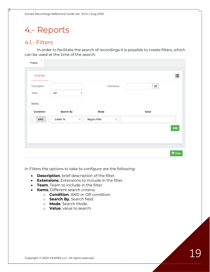## 4.- Reports

#### 4.1.- Filters

In order to facilitate the search of recordings it is possible to create filters, which can be used at the time of the search.

| $\gtrsim$<br><b>Filters</b> |                                               |                                               |          |               |
|-----------------------------|-----------------------------------------------|-----------------------------------------------|----------|---------------|
| <b>GENERAL</b>              |                                               |                                               |          | ⊫             |
| Description<br>Team         | All                                           | Extensions<br>۷                               | $\equiv$ |               |
| Items                       |                                               |                                               |          |               |
| Condition                   | <b>Search By</b>                              | Mode                                          | Value    |               |
|                             |                                               |                                               |          |               |
| <b>AND</b>                  | <b>Called To</b><br>$\boldsymbol{\mathrm{v}}$ | <b>Begins With</b><br>$\overline{\mathbf{v}}$ |          |               |
|                             |                                               |                                               |          |               |
|                             |                                               |                                               |          |               |
|                             |                                               |                                               |          | Add           |
|                             |                                               |                                               |          | <b>■</b> Save |

In Filters the options to take to configure are the following:

- **Description**, brief description of the filter.
- **Extensions**, Extensions to include in the filter.
- **Team**, Team to include in the filter.
- **Items**, Different search criteria.
	- o **Condition**, AND or OR condition.
	- o **Search By**, Search field.
	- o **Mode**, Search Mode.
	- o **Value**, value to search.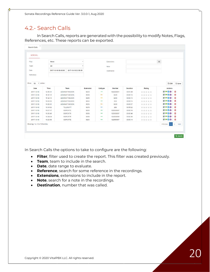### 4.2.- Search Calls

In Search Calls, reports are generated with the possibility to modify Notes, Flags, References, etc. These reports can be exported.

| <b>GENERAL</b>                |          |                     |                       |           |                          |             |          |        |               |                |                |      |
|-------------------------------|----------|---------------------|-----------------------|-----------|--------------------------|-------------|----------|--------|---------------|----------------|----------------|------|
| Filter                        | None     |                     |                       |           |                          | Extensions  |          |        | $\equiv$      |                |                |      |
| Team                          | All      |                     |                       |           |                          | Note        |          |        |               |                |                |      |
| Date                          |          | 2017-10-18 00:00:00 | 2017-10-18 23:59:59   |           |                          |             |          |        |               |                |                |      |
|                               |          |                     |                       |           |                          | Destination |          |        |               |                |                |      |
| Reference                     |          |                     |                       |           |                          |             |          |        |               |                |                |      |
|                               |          |                     |                       |           |                          |             |          |        |               |                |                |      |
| Show<br>· entries<br>10       |          |                     |                       |           |                          |             |          |        |               | $P$ csv        | 图 Save         |      |
| Date                          | Time     |                     | Team                  | Extension | Calltype                 | Number      | Duration | Rating |               | <b>Actions</b> |                |      |
| 2017-10-18                    | 12:06:31 |                     | <b>ADMINISTRACION</b> | 8253      | →                        | 922225031   | 00:01:26 | 食食食食   | ■声図◎          |                | 曲              |      |
| 2017-10-18                    | 11:32:13 |                     | <b>ADMINISTRACION</b> | 8250      | $\overline{\phantom{a}}$ | 8255        | 00:00:13 | *****  |               |                |                |      |
| 2017-10-18                    | 11:32:13 |                     | <b>ADMINISTRACION</b> | 8255      | ÷                        | 8250        | 00:00:13 | 宣言宣言宣  | ■ ■ 20 世      |                |                |      |
| 2017-10-18                    | 10:56:23 |                     | <b>ADMINISTRACION</b> | 8255      | $-$                      | 254         | 00:00:14 | 資資資資資  | <b>BP20 0</b> |                |                |      |
| 2017-10-18                    | 10:56:01 |                     | <b>ADMINISTRACION</b> | 8255      |                          | 8255        | 00:00:07 | 食食宴食食  |               |                |                |      |
| 2017-10-18                    | 10:34:52 |                     | TELESOFT              | 8270      |                          | 266         | 00:55:22 | 倉倉倉倉倉  | 原料図0 位        |                |                |      |
| 2017-10-18                    | 10:27:47 |                     | SOPORTE               | 8263      | →                        | 922550597   | 00:00:16 | 資資資資資  | <b>BPDO 0</b> |                |                |      |
| $2017 - 10 - 18$              | 10:26:48 |                     | SOPORTE               | 8263      | -                        | 922550597   | 00:00:48 | 食食宴食食  | ■■20 章        |                |                |      |
| $2017 - 10 - 18$              | 10:24:24 |                     | SOPORTE               | 8263      | →                        | 922550590   | 00:00:30 | 会会会会会  | <b>BPSO</b> 0 |                |                |      |
| 2017-10-18                    | 10:23:58 |                     | SOPORTE               | 8263      | $\rightarrow$            | 922550597   | 00:00:19 | 宣宣宣宣宣  | <b>FFDO D</b> |                |                |      |
| Showing 1 to 10 of 15 entries |          |                     |                       |           |                          |             |          |        |               |                | $\overline{2}$ | Next |
|                               |          |                     |                       |           |                          |             |          |        | Previous      | H.             |                |      |

In Search Calls the options to take to configure are the following:

- **Filter**, filter used to create the report. This filter was created previously.
- **Team**, team to include in the search.
- **Date**, date range to evaluate.
- **Reference**, search for some reference in the recordings.
- **Extensions**, extensions to include in the report.
- **Note**, search for a note in the recordings.
- **Destination**, number that was called.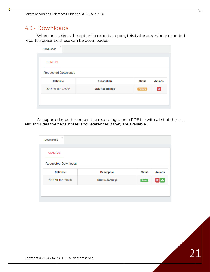#### 4.3.- Downloads

When one selects the option to export a report, this is the area where exported reports appear, so these can be downloaded.

| $\mathbf{x}$<br><b>Downloads</b> |                       |               |                |
|----------------------------------|-----------------------|---------------|----------------|
| <b>GENERAL</b>                   |                       |               |                |
| <b>Requested Downloads</b>       |                       |               |                |
| <b>Datetime</b>                  | <b>Description</b>    | <b>Status</b> | <b>Actions</b> |
| 2017-10-18 12:46:04              | <b>EBD Recordings</b> | Pending       | Û              |

All exported reports contain the recordings and a PDF file with a list of these. It also includes the flags, notes, and references if they are available.

| $\times$<br><b>Downloads</b> |                    |               |                |
|------------------------------|--------------------|---------------|----------------|
| <b>GENERAL</b>               |                    |               |                |
| <b>Requested Downloads</b>   |                    |               |                |
|                              |                    |               |                |
| <b>Datetime</b>              | <b>Description</b> | <b>Status</b> | <b>Actions</b> |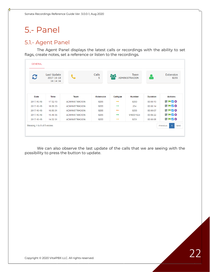# 5.- Panel

#### 5.1.- Agent Panel

The Agent Panel displays the latest calls or recordings with the ability to set flags, create notes, set a reference or listen to the recordings.

| C          | Last Update<br>2017-10-18<br>18:14:34 |                       | Calls<br>5       | 802                      | Team<br><b>ADMINISTRACION</b> |                 | Extension<br>8255 |
|------------|---------------------------------------|-----------------------|------------------|--------------------------|-------------------------------|-----------------|-------------------|
| Date       | Time                                  | <b>Team</b>           | <b>Extension</b> | Calltype                 | <b>Number</b>                 | <b>Duration</b> | <b>Actions</b>    |
| 2017-10-18 | 17:32:13                              | <b>ADMINISTRACION</b> | 8255             | $\rightarrow$            | 8250                          | 00:00:13        | <b>HPAO</b>       |
| 2017-10-18 | 16:56:23                              | <b>ADMINISTRACION</b> | 8255             | $\rightarrow$            | 254                           | 00:00:14        | <b>HPZO</b>       |
| 2017-10-18 | 16:56:01                              | <b>ADMINISTRACION</b> | 8255             | $\overline{\phantom{0}}$ | 8255                          | 00:00:07        | <b>HPMO</b>       |
| 2017-10-18 | 15:49:35                              | <b>ADMINISTRACION</b> | 8255             | →                        | 918001524                     | 00:06:22        | <b>HPAO</b>       |
|            | 14:32:01                              | <b>ADMINISTRACION</b> | 8255             | $\rightarrow$            | 8251                          | 00:00:06        | <b>HPDO</b>       |

We can also observe the last update of the calls that we are seeing with the possibility to press the button to update.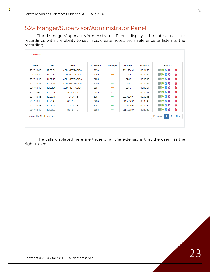### 5.2.- Manger/Supervisor/Administrator Panel

The Manager/Supervisor/Administrator Panel displays the latest calls or recordings with the ability to set flags, create notes, set a reference or listen to the recording.

| Date       | <b>Time</b> | <b>Team</b>           | <b>Extension</b> | Calltype                 | <b>Number</b> | <b>Duration</b> | <b>Actions</b> |    |
|------------|-------------|-----------------------|------------------|--------------------------|---------------|-----------------|----------------|----|
| 2017-10-18 | 12:06:31    | <b>ADMINISTRACION</b> | 8253             | →                        | 922225031     | 00:01:26        | <b>PPZO 1</b>  |    |
| 2017-10-18 | 11:32:13    | <b>ADMINISTRACION</b> | 8250             | $\overline{\phantom{0}}$ | 8255          | 00:00:13        | <b>PPZO 1</b>  |    |
| 2017-10-18 | 11:32:13    | <b>ADMINISTRACION</b> | 8255             | $\rightarrow$            | 8250          | 00:00:13        | <b>HPZO</b>    | 一面 |
| 2017-10-18 | 10:56:23    | <b>ADMINISTRACION</b> | 8255             | $\rightarrow$            | 254           | 00:00:14        | FFFO 1         |    |
| 2017-10-18 | 10:56:01    | <b>ADMINISTRACION</b> | 8255             | $\overline{\phantom{0}}$ | 8255          | 00:00:07        | <b>PPZO ti</b> |    |
| 2017-10-18 | 10:34:52    | <b>TELESOFT</b>       | 8270             | ←                        | 266           | 00:55:22        | ▐▌▘▞▞▖▏        |    |
| 2017-10-18 | 10:27:47    | <b>SOPORTE</b>        | 8263             | →                        | 922550597     | 00:00:16        | <b>HPZO</b>    | 一面 |
| 2017-10-18 | 10:26:48    | <b>SOPORTE</b>        | 8263             | $\rightarrow$            | 922550597     | 00:00:48        | <b>PPZO 10</b> |    |
| 2017-10-18 | 10:24:24    | <b>SOPORTE</b>        | 8263             | →                        | 922550590     | 00:00:30        | <b>RPZO 10</b> |    |
| 2017-10-18 | 10:23:58    | <b>SOPORTE</b>        | 8263             | $\rightarrow$            | 922550597     | 00:00:19        | <b>RPZO û</b>  |    |

The calls displayed here are those of all the extensions that the user has the right to see.